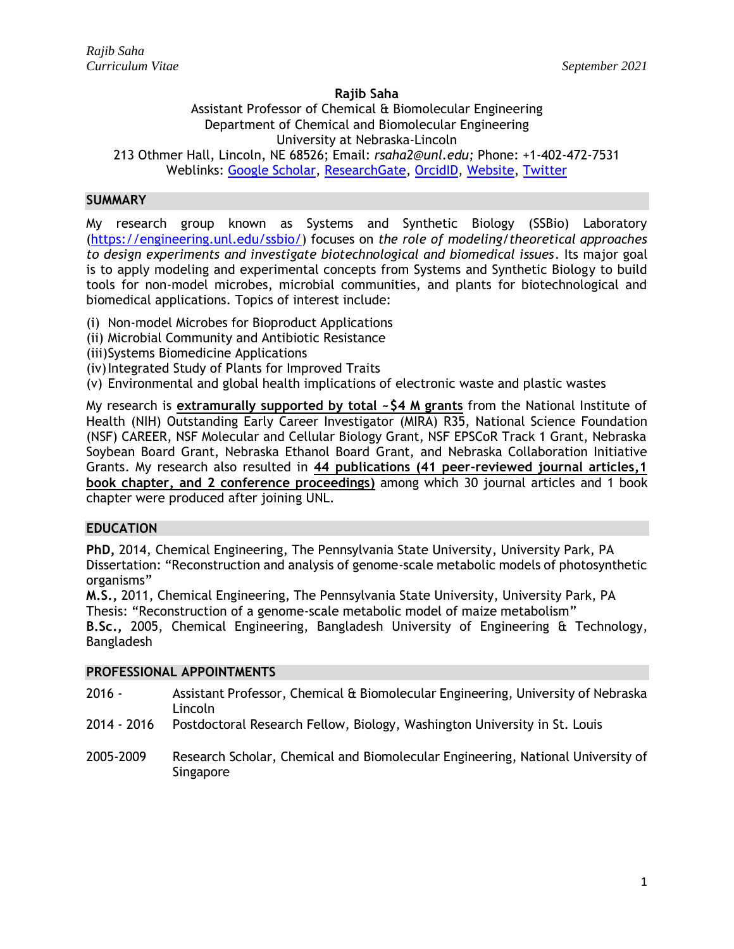# **Rajib Saha**

## Assistant Professor of Chemical & Biomolecular Engineering Department of Chemical and Biomolecular Engineering University at Nebraska-Lincoln 213 Othmer Hall, Lincoln, NE 68526; Email: *rsaha2@unl.edu;* Phone: +1-402-472-7531

Weblinks: [Google Scholar,](https://scholar.google.com/citations?user=uBAcj8cAAAAJ&hl=en) [ResearchGate,](https://www.researchgate.net/profile/Rajib-Saha-11) [OrcidID,](https://orcid.org/my-orcid?orcid=0000-0002-2974-0243) [Website,](https://engineering.unl.edu/ssbio/) [Twitter](https://twitter.com/rsaha_phd)

# **SUMMARY**

My research group known as Systems and Synthetic Biology (SSBio) Laboratory [\(https://engineering.unl.edu/ssbio/\)](https://engineering.unl.edu/ssbio/) focuses on *the role of modeling/theoretical approaches to design experiments and investigate biotechnological and biomedical issues*. Its major goal is to apply modeling and experimental concepts from Systems and Synthetic Biology to build tools for non-model microbes, microbial communities, and plants for biotechnological and biomedical applications. Topics of interest include:

- (i) Non-model Microbes for Bioproduct Applications
- (ii) Microbial Community and Antibiotic Resistance
- (iii)Systems Biomedicine Applications
- (iv) Integrated Study of Plants for Improved Traits
- (v) Environmental and global health implications of electronic waste and plastic wastes

My research is **extramurally supported by total ~\$4 M grants** from the National Institute of Health (NIH) Outstanding Early Career Investigator (MIRA) R35, National Science Foundation (NSF) CAREER, NSF Molecular and Cellular Biology Grant, NSF EPSCoR Track 1 Grant, Nebraska Soybean Board Grant, Nebraska Ethanol Board Grant, and Nebraska Collaboration Initiative Grants. My research also resulted in **44 publications (41 peer-reviewed journal articles,1 book chapter, and 2 conference proceedings)** among which 30 journal articles and 1 book chapter were produced after joining UNL.

#### **EDUCATION**

**PhD,** 2014, Chemical Engineering, The Pennsylvania State University, University Park, PA Dissertation: "Reconstruction and analysis of genome-scale metabolic models of photosynthetic organisms"

**M.S.,** 2011, Chemical Engineering, The Pennsylvania State University, University Park, PA Thesis: "Reconstruction of a genome-scale metabolic model of maize metabolism" **B.Sc.,** 2005, Chemical Engineering, Bangladesh University of Engineering & Technology, Bangladesh

## **PROFESSIONAL APPOINTMENTS**

- 2016 Assistant Professor, Chemical & Biomolecular Engineering, University of Nebraska Lincoln
- 2014 2016 Postdoctoral Research Fellow, Biology, Washington University in St. Louis
- 2005-2009 Research Scholar, Chemical and Biomolecular Engineering, National University of Singapore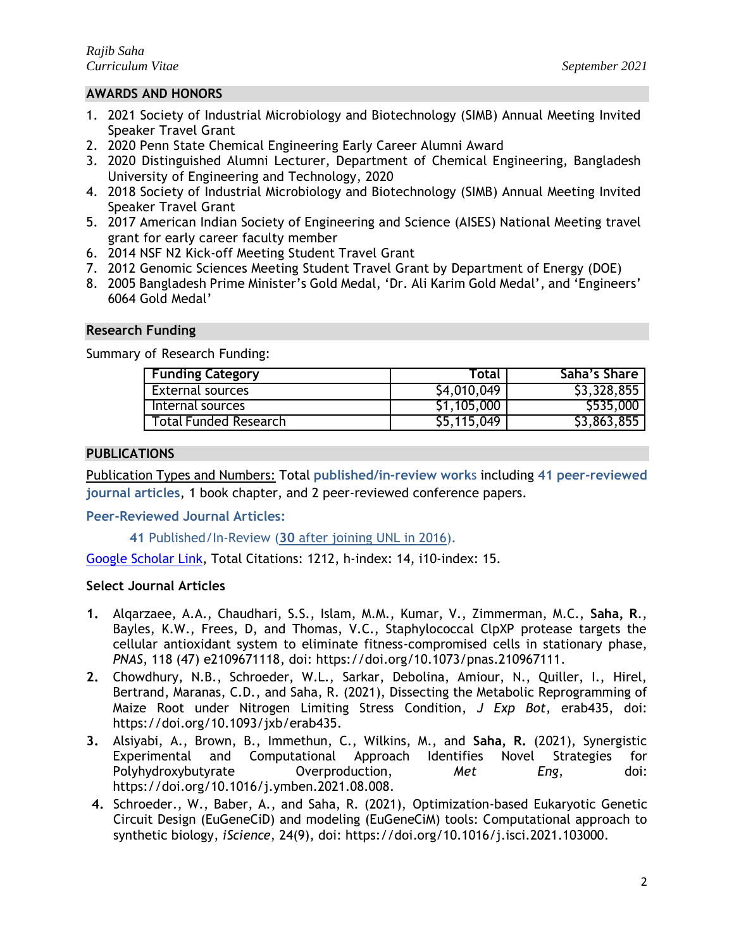# **AWARDS AND HONORS**

- 1. 2021 Society of Industrial Microbiology and Biotechnology (SIMB) Annual Meeting Invited Speaker Travel Grant
- 2. 2020 Penn State Chemical Engineering Early Career Alumni Award
- 3. 2020 Distinguished Alumni Lecturer, Department of Chemical Engineering, Bangladesh University of Engineering and Technology, 2020
- 4. 2018 Society of Industrial Microbiology and Biotechnology (SIMB) Annual Meeting Invited Speaker Travel Grant
- 5. 2017 American Indian Society of Engineering and Science (AISES) National Meeting travel grant for early career faculty member
- 6. 2014 NSF N2 Kick-off Meeting Student Travel Grant
- 7. 2012 Genomic Sciences Meeting Student Travel Grant by Department of Energy (DOE)
- 8. 2005 Bangladesh Prime Minister's Gold Medal, 'Dr. Ali Karim Gold Medal', and 'Engineers' 6064 Gold Medal'

### **Research Funding**

Summary of Research Funding:

| <b>Funding Category</b>      | Total       | Saha's Share |
|------------------------------|-------------|--------------|
| External sources             | \$4,010,049 | \$3,328,855  |
| Internal sources             | \$1,105,000 | \$535,000    |
| <b>Total Funded Research</b> | \$5,115,049 | \$3,863,855  |

### **PUBLICATIONS**

Publication Types and Numbers: Total **published/in-review work**s including **41 peer-reviewed journal articles**, 1 book chapter, and 2 peer-reviewed conference papers.

#### **Peer-Reviewed Journal Articles:**

**41** Published/In-Review (**30** after joining UNL in 2016).

[Google Scholar Link,](https://scholar.google.com/citations?user=uBAcj8cAAAAJ&hl=en) Total Citations: 1212, h-index: 14, i10-index: 15.

# **Select Journal Articles**

- **1.** Alqarzaee, A.A., Chaudhari, S.S., Islam, M.M., Kumar, V., Zimmerman, M.C., **Saha, R**., Bayles, K.W., Frees, D, and Thomas, V.C., Staphylococcal ClpXP protease targets the cellular antioxidant system to eliminate fitness-compromised cells in stationary phase, *PNAS*, 118 (47) e2109671118, doi: https://doi.org/10.1073/pnas.210967111.
- **2.** Chowdhury, N.B., Schroeder, W.L., Sarkar, Debolina, Amiour, N., Quiller, I., Hirel, Bertrand, Maranas, C.D., and Saha, R. (2021), Dissecting the Metabolic Reprogramming of Maize Root under Nitrogen Limiting Stress Condition, *J Exp Bot,* erab435, doi: https://doi.org/10.1093/jxb/erab435.
- **3.** Alsiyabi, A., Brown, B., Immethun, C., Wilkins, M., and **Saha, R.** (2021), Synergistic Experimental and Computational Approach Identifies Novel Strategies for Polyhydroxybutyrate Overproduction, *Met Eng*, doi: https://doi.org/10.1016/j.ymben.2021.08.008.
- **4.** Schroeder., W., Baber, A., and Saha, R. (2021), Optimization-based Eukaryotic Genetic Circuit Design (EuGeneCiD) and modeling (EuGeneCiM) tools: Computational approach to synthetic biology, *iScience*, 24(9), doi: https://doi.org/10.1016/j.isci.2021.103000.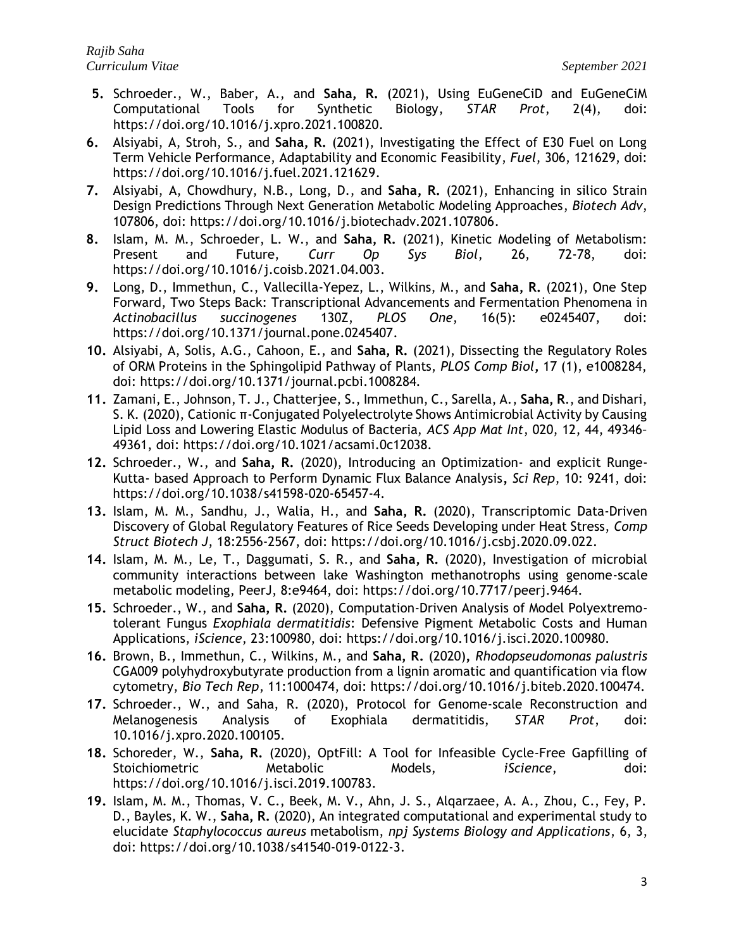- **5.** Schroeder., W., Baber, A., and **Saha, R.** (2021), Using EuGeneCiD and EuGeneCiM Computational Tools for Synthetic Biology, *STAR Prot*, 2(4), doi: https://doi.org/10.1016/j.xpro.2021.100820.
- **6.** Alsiyabi, A, Stroh, S., and **Saha, R.** (2021), Investigating the Effect of E30 Fuel on Long Term Vehicle Performance, Adaptability and Economic Feasibility, *Fuel*, 306, 121629, doi: https://doi.org/10.1016/j.fuel.2021.121629.
- **7.** Alsiyabi, A, Chowdhury, N.B., Long, D., and **Saha, R.** (2021), Enhancing in silico Strain Design Predictions Through Next Generation Metabolic Modeling Approaches, *Biotech Adv*, 107806, doi: https://doi.org/10.1016/j.biotechadv.2021.107806.
- **8.** Islam, M. M., Schroeder, L. W., and **Saha, R.** (2021), Kinetic Modeling of Metabolism: Present and Future, *Curr Op Sys Biol*, 26, 72-78, doi: https://doi.org/10.1016/j.coisb.2021.04.003.
- **9.** Long, D., Immethun, C., Vallecilla-Yepez, L., Wilkins, M., and **Saha, R.** (2021), One Step Forward, Two Steps Back: Transcriptional Advancements and Fermentation Phenomena in *Actinobacillus succinogenes* 130Z, *PLOS One*, 16(5): e0245407, doi: https://doi.org/10.1371/journal.pone.0245407.
- **10.** Alsiyabi, A, Solis, A.G., Cahoon, E., and **Saha, R.** (2021), Dissecting the Regulatory Roles of ORM Proteins in the Sphingolipid Pathway of Plants, *PLOS Comp Biol***,** 17 (1), e1008284, doi: https://doi.org/10.1371/journal.pcbi.1008284.
- **11.** Zamani, E., Johnson, T. J., Chatterjee, S., Immethun, C., Sarella, A., **Saha, R**., and Dishari, S. K. (2020), Cationic π-Conjugated Polyelectrolyte Shows Antimicrobial Activity by Causing Lipid Loss and Lowering Elastic Modulus of Bacteria, *ACS App Mat Int*, 020, 12, 44, 49346– 49361, doi: https://doi.org/10.1021/acsami.0c12038.
- **12.** Schroeder., W., and **Saha, R.** (2020), Introducing an Optimization- and explicit Runge-Kutta- based Approach to Perform Dynamic Flux Balance Analysis*, Sci Rep*, 10: 9241, doi: https://doi.org/10.1038/s41598-020-65457-4.
- **13.** Islam, M. M., Sandhu, J., Walia, H., and **Saha, R.** (2020), Transcriptomic Data-Driven Discovery of Global Regulatory Features of Rice Seeds Developing under Heat Stress, *Comp Struct Biotech J*, 18:2556-2567, doi: https://doi.org/10.1016/j.csbj.2020.09.022.
- **14.** Islam, M. M., Le, T., Daggumati, S. R., and **Saha, R.** (2020), Investigation of microbial community interactions between lake Washington methanotrophs using genome-scale metabolic modeling, PeerJ, 8:e9464, doi: https://doi.org/10.7717/peerj.9464.
- **15.** Schroeder., W., and **Saha, R.** (2020), Computation-Driven Analysis of Model Polyextremotolerant Fungus *Exophiala dermatitidis*: Defensive Pigment Metabolic Costs and Human Applications, *iScience*, 23:100980, doi: https://doi.org/10.1016/j.isci.2020.100980.
- **16.** Brown, B., Immethun, C., Wilkins, M., and **Saha, R.** (2020)**,** *Rhodopseudomonas palustris* CGA009 polyhydroxybutyrate production from a lignin aromatic and quantification via flow cytometry, *Bio Tech Rep*, 11:1000474, doi: https://doi.org/10.1016/j.biteb.2020.100474.
- **17.** Schroeder., W., and Saha, R. (2020), Protocol for Genome-scale Reconstruction and Melanogenesis Analysis of Exophiala dermatitidis, *STAR Prot*, doi: 10.1016/j.xpro.2020.100105.
- **18.** Schoreder, W., **Saha, R.** (2020), OptFill: A Tool for Infeasible Cycle-Free Gapfilling of Stoichiometric Metabolic Models, *iScience*, doi: https://doi.org/10.1016/j.isci.2019.100783.
- **19.** Islam, M. M., Thomas, V. C., Beek, M. V., Ahn, J. S., Alqarzaee, A. A., Zhou, C., Fey, P. D., Bayles, K. W., **Saha, R.** (2020), An integrated computational and experimental study to elucidate *Staphylococcus aureus* metabolism, *npj Systems Biology and Applications*, 6, 3, doi: https://doi.org/10.1038/s41540-019-0122-3.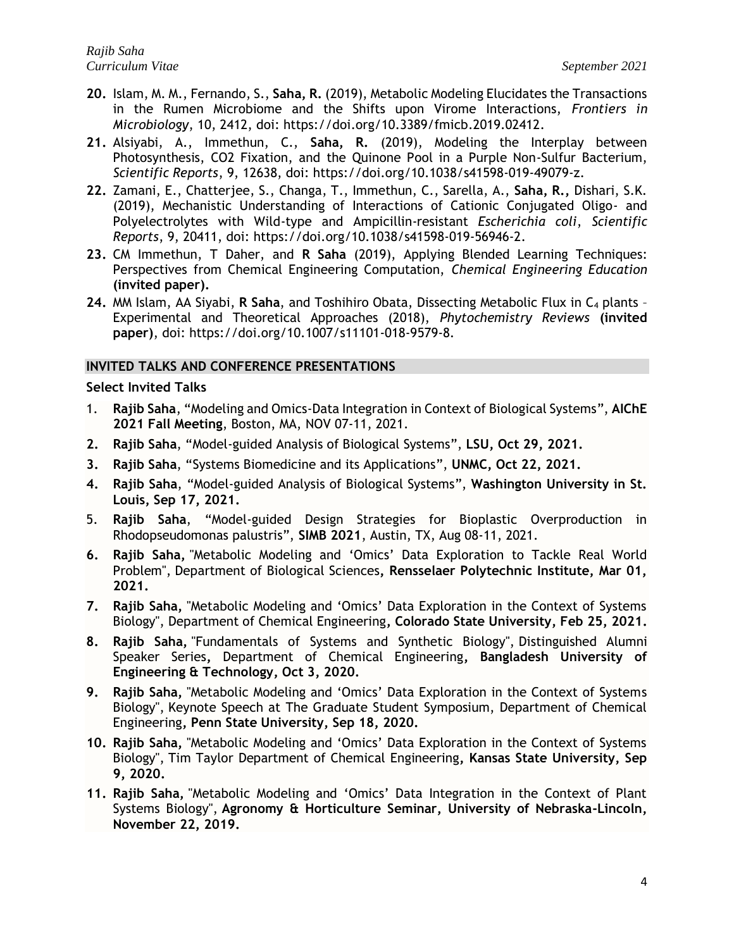- **20.** Islam, M. M., Fernando, S., **Saha, R.** (2019), Metabolic Modeling Elucidates the Transactions in the Rumen Microbiome and the Shifts upon Virome Interactions, *Frontiers in Microbiology*, 10, 2412, doi: https://doi.org/10.3389/fmicb.2019.02412.
- **21.** Alsiyabi, A., Immethun, C., **Saha, R.** (2019), Modeling the Interplay between Photosynthesis, CO2 Fixation, and the Quinone Pool in a Purple Non-Sulfur Bacterium, *Scientific Reports*, 9, 12638, doi: https://doi.org/10.1038/s41598-019-49079-z.
- **22.** Zamani, E., Chatterjee, S., Changa, T., Immethun, C., Sarella, A., **Saha, R.,** Dishari, S.K. (2019), Mechanistic Understanding of Interactions of Cationic Conjugated Oligo- and Polyelectrolytes with Wild-type and Ampicillin-resistant *Escherichia coli*, *Scientific Reports*, 9, 20411, doi: https://doi.org/10.1038/s41598-019-56946-2.
- **23.** CM Immethun, T Daher, and **R Saha** (2019), Applying Blended Learning Techniques: Perspectives from Chemical Engineering Computation, *Chemical Engineering Education*  **(invited paper).**
- **24.** MM Islam, AA Siyabi, **R Saha**, and Toshihiro Obata, Dissecting Metabolic Flux in C<sup>4</sup> plants Experimental and Theoretical Approaches (2018), *Phytochemistry Reviews* **(invited paper)**, doi: https://doi.org/10.1007/s11101-018-9579-8.

# **INVITED TALKS AND CONFERENCE PRESENTATIONS**

### **Select Invited Talks**

- 1. **Rajib Saha**, "Modeling and Omics-Data Integration in Context of Biological Systems", **AIChE 2021 Fall Meeting**, Boston, MA, NOV 07-11, 2021.
- **2. Rajib Saha**, "Model-guided Analysis of Biological Systems", **LSU, Oct 29, 2021.**
- **3. Rajib Saha**, "Systems Biomedicine and its Applications", **UNMC, Oct 22, 2021.**
- **4. Rajib Saha**, "Model-guided Analysis of Biological Systems", **Washington University in St. Louis, Sep 17, 2021.**
- 5. **Rajib Saha**, "Model-guided Design Strategies for Bioplastic Overproduction in Rhodopseudomonas palustris", **SIMB 2021**, Austin, TX, Aug 08-11, 2021.
- **6. Rajib Saha,** "Metabolic Modeling and 'Omics' Data Exploration to Tackle Real World Problem", Department of Biological Sciences**, Rensselaer Polytechnic Institute, Mar 01, 2021.**
- **7. Rajib Saha,** "Metabolic Modeling and 'Omics' Data Exploration in the Context of Systems Biology", Department of Chemical Engineering**, Colorado State University, Feb 25, 2021.**
- **8. Rajib Saha,** "Fundamentals of Systems and Synthetic Biology", Distinguished Alumni Speaker Series**,** Department of Chemical Engineering**, Bangladesh University of Engineering & Technology, Oct 3, 2020.**
- **9. Rajib Saha,** "Metabolic Modeling and 'Omics' Data Exploration in the Context of Systems Biology", Keynote Speech at The Graduate Student Symposium, Department of Chemical Engineering**, Penn State University, Sep 18, 2020.**
- **10. Rajib Saha,** "Metabolic Modeling and 'Omics' Data Exploration in the Context of Systems Biology", Tim Taylor Department of Chemical Engineering**, Kansas State University, Sep 9, 2020.**
- **11. Rajib Saha,** "Metabolic Modeling and 'Omics' Data Integration in the Context of Plant Systems Biology", **Agronomy & Horticulture Seminar, University of Nebraska-Lincoln, November 22, 2019.**